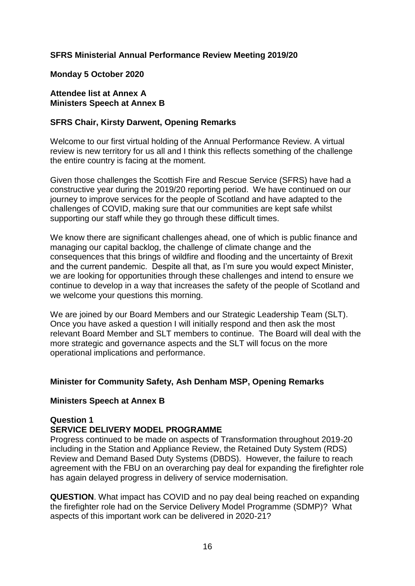## **SFRS Ministerial Annual Performance Review Meeting 2019/20**

#### **Monday 5 October 2020**

#### **Attendee list at Annex A Ministers Speech at Annex B**

#### **SFRS Chair, Kirsty Darwent, Opening Remarks**

Welcome to our first virtual holding of the Annual Performance Review. A virtual review is new territory for us all and I think this reflects something of the challenge the entire country is facing at the moment.

Given those challenges the Scottish Fire and Rescue Service (SFRS) have had a constructive year during the 2019/20 reporting period. We have continued on our journey to improve services for the people of Scotland and have adapted to the challenges of COVID, making sure that our communities are kept safe whilst supporting our staff while they go through these difficult times.

We know there are significant challenges ahead, one of which is public finance and managing our capital backlog, the challenge of climate change and the consequences that this brings of wildfire and flooding and the uncertainty of Brexit and the current pandemic. Despite all that, as I'm sure you would expect Minister, we are looking for opportunities through these challenges and intend to ensure we continue to develop in a way that increases the safety of the people of Scotland and we welcome your questions this morning.

We are joined by our Board Members and our Strategic Leadership Team (SLT). Once you have asked a question I will initially respond and then ask the most relevant Board Member and SLT members to continue. The Board will deal with the more strategic and governance aspects and the SLT will focus on the more operational implications and performance.

#### **Minister for Community Safety, Ash Denham MSP, Opening Remarks**

#### **Ministers Speech at Annex B**

#### **Question 1**

#### **SERVICE DELIVERY MODEL PROGRAMME**

Progress continued to be made on aspects of Transformation throughout 2019-20 including in the Station and Appliance Review, the Retained Duty System (RDS) Review and Demand Based Duty Systems (DBDS). However, the failure to reach agreement with the FBU on an overarching pay deal for expanding the firefighter role has again delayed progress in delivery of service modernisation.

**QUESTION**. What impact has COVID and no pay deal being reached on expanding the firefighter role had on the Service Delivery Model Programme (SDMP)? What aspects of this important work can be delivered in 2020-21?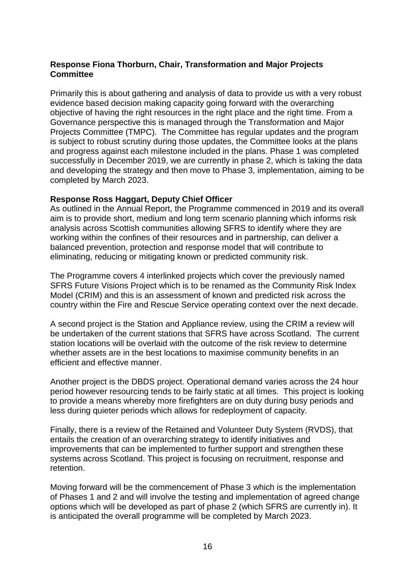#### **Response Fiona Thorburn, Chair, Transformation and Major Projects Committee**

Primarily this is about gathering and analysis of data to provide us with a very robust evidence based decision making capacity going forward with the overarching objective of having the right resources in the right place and the right time. From a Governance perspective this is managed through the Transformation and Major Projects Committee (TMPC). The Committee has regular updates and the program is subject to robust scrutiny during those updates, the Committee looks at the plans and progress against each milestone included in the plans. Phase 1 was completed successfully in December 2019, we are currently in phase 2, which is taking the data and developing the strategy and then move to Phase 3, implementation, aiming to be completed by March 2023.

#### **Response Ross Haggart, Deputy Chief Officer**

As outlined in the Annual Report, the Programme commenced in 2019 and its overall aim is to provide short, medium and long term scenario planning which informs risk analysis across Scottish communities allowing SFRS to identify where they are working within the confines of their resources and in partnership, can deliver a balanced prevention, protection and response model that will contribute to eliminating, reducing or mitigating known or predicted community risk.

The Programme covers 4 interlinked projects which cover the previously named SFRS Future Visions Project which is to be renamed as the Community Risk Index Model (CRIM) and this is an assessment of known and predicted risk across the country within the Fire and Rescue Service operating context over the next decade.

A second project is the Station and Appliance review, using the CRIM a review will be undertaken of the current stations that SFRS have across Scotland. The current station locations will be overlaid with the outcome of the risk review to determine whether assets are in the best locations to maximise community benefits in an efficient and effective manner.

Another project is the DBDS project. Operational demand varies across the 24 hour period however resourcing tends to be fairly static at all times. This project is looking to provide a means whereby more firefighters are on duty during busy periods and less during quieter periods which allows for redeployment of capacity.

Finally, there is a review of the Retained and Volunteer Duty System (RVDS), that entails the creation of an overarching strategy to identify initiatives and improvements that can be implemented to further support and strengthen these systems across Scotland. This project is focusing on recruitment, response and retention.

Moving forward will be the commencement of Phase 3 which is the implementation of Phases 1 and 2 and will involve the testing and implementation of agreed change options which will be developed as part of phase 2 (which SFRS are currently in). It is anticipated the overall programme will be completed by March 2023.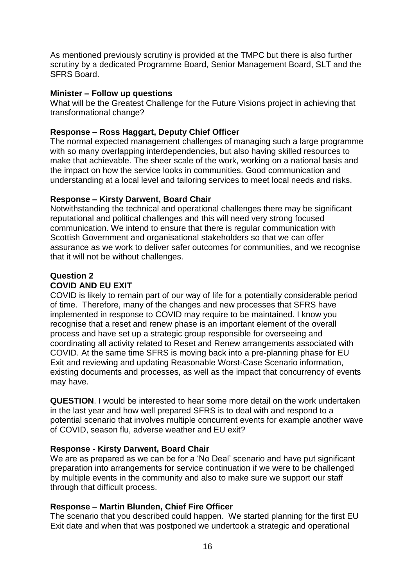As mentioned previously scrutiny is provided at the TMPC but there is also further scrutiny by a dedicated Programme Board, Senior Management Board, SLT and the SFRS Board.

#### **Minister – Follow up questions**

What will be the Greatest Challenge for the Future Visions project in achieving that transformational change?

#### **Response – Ross Haggart, Deputy Chief Officer**

The normal expected management challenges of managing such a large programme with so many overlapping interdependencies, but also having skilled resources to make that achievable. The sheer scale of the work, working on a national basis and the impact on how the service looks in communities. Good communication and understanding at a local level and tailoring services to meet local needs and risks.

#### **Response – Kirsty Darwent, Board Chair**

Notwithstanding the technical and operational challenges there may be significant reputational and political challenges and this will need very strong focused communication. We intend to ensure that there is regular communication with Scottish Government and organisational stakeholders so that we can offer assurance as we work to deliver safer outcomes for communities, and we recognise that it will not be without challenges.

## **Question 2 COVID AND EU EXIT**

COVID is likely to remain part of our way of life for a potentially considerable period of time. Therefore, many of the changes and new processes that SFRS have implemented in response to COVID may require to be maintained. I know you recognise that a reset and renew phase is an important element of the overall process and have set up a strategic group responsible for overseeing and coordinating all activity related to Reset and Renew arrangements associated with COVID. At the same time SFRS is moving back into a pre-planning phase for EU Exit and reviewing and updating Reasonable Worst-Case Scenario information, existing documents and processes, as well as the impact that concurrency of events may have.

**QUESTION**. I would be interested to hear some more detail on the work undertaken in the last year and how well prepared SFRS is to deal with and respond to a potential scenario that involves multiple concurrent events for example another wave of COVID, season flu, adverse weather and EU exit?

#### **Response - Kirsty Darwent, Board Chair**

We are as prepared as we can be for a 'No Deal' scenario and have put significant preparation into arrangements for service continuation if we were to be challenged by multiple events in the community and also to make sure we support our staff through that difficult process.

#### **Response – Martin Blunden, Chief Fire Officer**

The scenario that you described could happen. We started planning for the first EU Exit date and when that was postponed we undertook a strategic and operational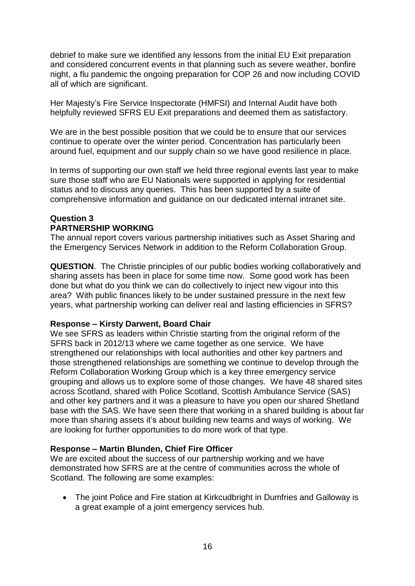debrief to make sure we identified any lessons from the initial EU Exit preparation and considered concurrent events in that planning such as severe weather, bonfire night, a flu pandemic the ongoing preparation for COP 26 and now including COVID all of which are significant.

Her Majesty's Fire Service Inspectorate (HMFSI) and Internal Audit have both helpfully reviewed SFRS EU Exit preparations and deemed them as satisfactory.

We are in the best possible position that we could be to ensure that our services continue to operate over the winter period. Concentration has particularly been around fuel, equipment and our supply chain so we have good resilience in place.

In terms of supporting our own staff we held three regional events last year to make sure those staff who are EU Nationals were supported in applying for residential status and to discuss any queries. This has been supported by a suite of comprehensive information and guidance on our dedicated internal intranet site.

#### **Question 3 PARTNERSHIP WORKING**

The annual report covers various partnership initiatives such as Asset Sharing and the Emergency Services Network in addition to the Reform Collaboration Group.

**QUESTION**. The Christie principles of our public bodies working collaboratively and sharing assets has been in place for some time now. Some good work has been done but what do you think we can do collectively to inject new vigour into this area? With public finances likely to be under sustained pressure in the next few years, what partnership working can deliver real and lasting efficiencies in SFRS?

## **Response – Kirsty Darwent, Board Chair**

We see SFRS as leaders within Christie starting from the original reform of the SFRS back in 2012/13 where we came together as one service. We have strengthened our relationships with local authorities and other key partners and those strengthened relationships are something we continue to develop through the Reform Collaboration Working Group which is a key three emergency service grouping and allows us to explore some of those changes. We have 48 shared sites across Scotland, shared with Police Scotland, Scottish Ambulance Service (SAS) and other key partners and it was a pleasure to have you open our shared Shetland base with the SAS. We have seen there that working in a shared building is about far more than sharing assets it's about building new teams and ways of working. We are looking for further opportunities to do more work of that type.

## **Response – Martin Blunden, Chief Fire Officer**

We are excited about the success of our partnership working and we have demonstrated how SFRS are at the centre of communities across the whole of Scotland. The following are some examples:

• The joint Police and Fire station at Kirkcudbright in Dumfries and Galloway is a great example of a joint emergency services hub.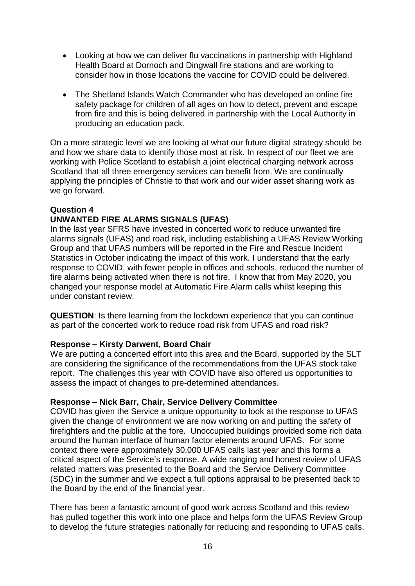- Looking at how we can deliver flu vaccinations in partnership with Highland Health Board at Dornoch and Dingwall fire stations and are working to consider how in those locations the vaccine for COVID could be delivered.
- The Shetland Islands Watch Commander who has developed an online fire safety package for children of all ages on how to detect, prevent and escape from fire and this is being delivered in partnership with the Local Authority in producing an education pack.

On a more strategic level we are looking at what our future digital strategy should be and how we share data to identify those most at risk. In respect of our fleet we are working with Police Scotland to establish a joint electrical charging network across Scotland that all three emergency services can benefit from. We are continually applying the principles of Christie to that work and our wider asset sharing work as we go forward.

## **Question 4**

## **UNWANTED FIRE ALARMS SIGNALS (UFAS)**

In the last year SFRS have invested in concerted work to reduce unwanted fire alarms signals (UFAS) and road risk, including establishing a UFAS Review Working Group and that UFAS numbers will be reported in the Fire and Rescue Incident Statistics in October indicating the impact of this work. I understand that the early response to COVID, with fewer people in offices and schools, reduced the number of fire alarms being activated when there is not fire. I know that from May 2020, you changed your response model at Automatic Fire Alarm calls whilst keeping this under constant review.

**QUESTION**: Is there learning from the lockdown experience that you can continue as part of the concerted work to reduce road risk from UFAS and road risk?

#### **Response – Kirsty Darwent, Board Chair**

We are putting a concerted effort into this area and the Board, supported by the SLT are considering the significance of the recommendations from the UFAS stock take report. The challenges this year with COVID have also offered us opportunities to assess the impact of changes to pre-determined attendances.

#### **Response – Nick Barr, Chair, Service Delivery Committee**

COVID has given the Service a unique opportunity to look at the response to UFAS given the change of environment we are now working on and putting the safety of firefighters and the public at the fore. Unoccupied buildings provided some rich data around the human interface of human factor elements around UFAS. For some context there were approximately 30,000 UFAS calls last year and this forms a critical aspect of the Service's response. A wide ranging and honest review of UFAS related matters was presented to the Board and the Service Delivery Committee (SDC) in the summer and we expect a full options appraisal to be presented back to the Board by the end of the financial year.

There has been a fantastic amount of good work across Scotland and this review has pulled together this work into one place and helps form the UFAS Review Group to develop the future strategies nationally for reducing and responding to UFAS calls.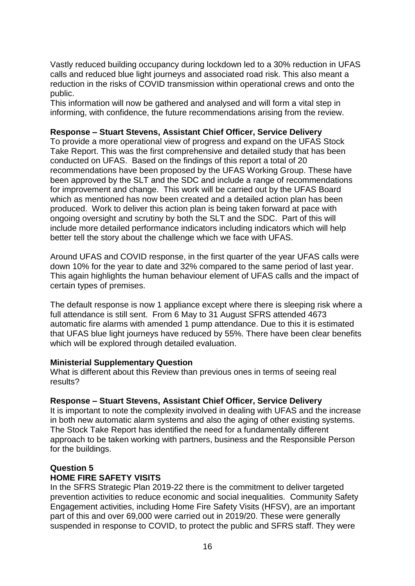Vastly reduced building occupancy during lockdown led to a 30% reduction in UFAS calls and reduced blue light journeys and associated road risk. This also meant a reduction in the risks of COVID transmission within operational crews and onto the public.

This information will now be gathered and analysed and will form a vital step in informing, with confidence, the future recommendations arising from the review.

## **Response – Stuart Stevens, Assistant Chief Officer, Service Delivery**

To provide a more operational view of progress and expand on the UFAS Stock Take Report. This was the first comprehensive and detailed study that has been conducted on UFAS. Based on the findings of this report a total of 20 recommendations have been proposed by the UFAS Working Group. These have been approved by the SLT and the SDC and include a range of recommendations for improvement and change. This work will be carried out by the UFAS Board which as mentioned has now been created and a detailed action plan has been produced. Work to deliver this action plan is being taken forward at pace with ongoing oversight and scrutiny by both the SLT and the SDC. Part of this will include more detailed performance indicators including indicators which will help better tell the story about the challenge which we face with UFAS.

Around UFAS and COVID response, in the first quarter of the year UFAS calls were down 10% for the year to date and 32% compared to the same period of last year. This again highlights the human behaviour element of UFAS calls and the impact of certain types of premises.

The default response is now 1 appliance except where there is sleeping risk where a full attendance is still sent. From 6 May to 31 August SFRS attended 4673 automatic fire alarms with amended 1 pump attendance. Due to this it is estimated that UFAS blue light journeys have reduced by 55%. There have been clear benefits which will be explored through detailed evaluation.

#### **Ministerial Supplementary Question**

What is different about this Review than previous ones in terms of seeing real results?

#### **Response – Stuart Stevens, Assistant Chief Officer, Service Delivery**

It is important to note the complexity involved in dealing with UFAS and the increase in both new automatic alarm systems and also the aging of other existing systems. The Stock Take Report has identified the need for a fundamentally different approach to be taken working with partners, business and the Responsible Person for the buildings.

# **Question 5**

#### **HOME FIRE SAFETY VISITS**

In the SFRS Strategic Plan 2019-22 there is the commitment to deliver targeted prevention activities to reduce economic and social inequalities. Community Safety Engagement activities, including Home Fire Safety Visits (HFSV), are an important part of this and over 69,000 were carried out in 2019/20. These were generally suspended in response to COVID, to protect the public and SFRS staff. They were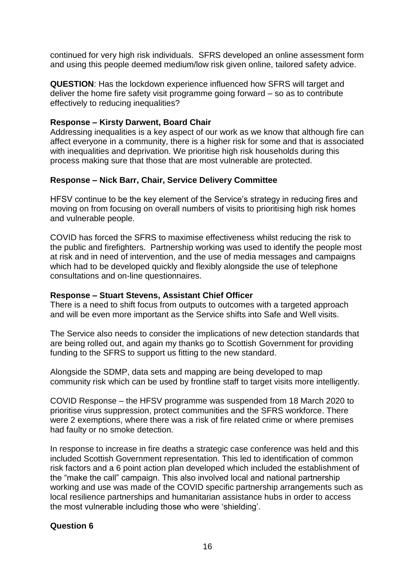continued for very high risk individuals. SFRS developed an online assessment form and using this people deemed medium/low risk given online, tailored safety advice.

**QUESTION**: Has the lockdown experience influenced how SFRS will target and deliver the home fire safety visit programme going forward – so as to contribute effectively to reducing inequalities?

#### **Response – Kirsty Darwent, Board Chair**

Addressing inequalities is a key aspect of our work as we know that although fire can affect everyone in a community, there is a higher risk for some and that is associated with inequalities and deprivation. We prioritise high risk households during this process making sure that those that are most vulnerable are protected.

## **Response – Nick Barr, Chair, Service Delivery Committee**

HFSV continue to be the key element of the Service's strategy in reducing fires and moving on from focusing on overall numbers of visits to prioritising high risk homes and vulnerable people.

COVID has forced the SFRS to maximise effectiveness whilst reducing the risk to the public and firefighters. Partnership working was used to identify the people most at risk and in need of intervention, and the use of media messages and campaigns which had to be developed quickly and flexibly alongside the use of telephone consultations and on-line questionnaires.

#### **Response – Stuart Stevens, Assistant Chief Officer**

There is a need to shift focus from outputs to outcomes with a targeted approach and will be even more important as the Service shifts into Safe and Well visits.

The Service also needs to consider the implications of new detection standards that are being rolled out, and again my thanks go to Scottish Government for providing funding to the SFRS to support us fitting to the new standard.

Alongside the SDMP, data sets and mapping are being developed to map community risk which can be used by frontline staff to target visits more intelligently.

COVID Response – the HFSV programme was suspended from 18 March 2020 to prioritise virus suppression, protect communities and the SFRS workforce. There were 2 exemptions, where there was a risk of fire related crime or where premises had faulty or no smoke detection.

In response to increase in fire deaths a strategic case conference was held and this included Scottish Government representation. This led to identification of common risk factors and a 6 point action plan developed which included the establishment of the "make the call" campaign. This also involved local and national partnership working and use was made of the COVID specific partnership arrangements such as local resilience partnerships and humanitarian assistance hubs in order to access the most vulnerable including those who were 'shielding'.

## **Question 6**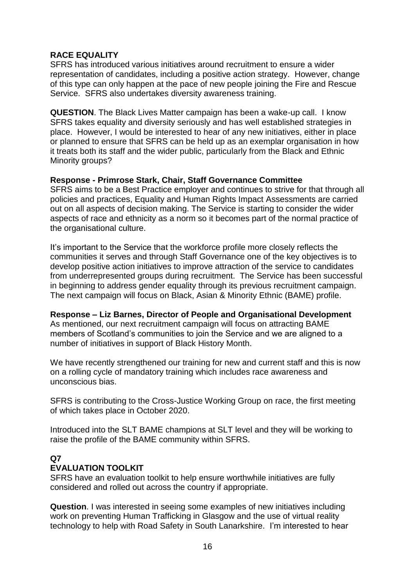## **RACE EQUALITY**

SFRS has introduced various initiatives around recruitment to ensure a wider representation of candidates, including a positive action strategy. However, change of this type can only happen at the pace of new people joining the Fire and Rescue Service. SFRS also undertakes diversity awareness training.

**QUESTION**. The Black Lives Matter campaign has been a wake-up call. I know SFRS takes equality and diversity seriously and has well established strategies in place. However, I would be interested to hear of any new initiatives, either in place or planned to ensure that SFRS can be held up as an exemplar organisation in how it treats both its staff and the wider public, particularly from the Black and Ethnic Minority groups?

## **Response - Primrose Stark, Chair, Staff Governance Committee**

SFRS aims to be a Best Practice employer and continues to strive for that through all policies and practices, Equality and Human Rights Impact Assessments are carried out on all aspects of decision making. The Service is starting to consider the wider aspects of race and ethnicity as a norm so it becomes part of the normal practice of the organisational culture.

It's important to the Service that the workforce profile more closely reflects the communities it serves and through Staff Governance one of the key objectives is to develop positive action initiatives to improve attraction of the service to candidates from underrepresented groups during recruitment. The Service has been successful in beginning to address gender equality through its previous recruitment campaign. The next campaign will focus on Black, Asian & Minority Ethnic (BAME) profile.

#### **Response – Liz Barnes, Director of People and Organisational Development**

As mentioned, our next recruitment campaign will focus on attracting BAME members of Scotland's communities to join the Service and we are aligned to a number of initiatives in support of Black History Month.

We have recently strengthened our training for new and current staff and this is now on a rolling cycle of mandatory training which includes race awareness and unconscious bias.

SFRS is contributing to the Cross-Justice Working Group on race, the first meeting of which takes place in October 2020.

Introduced into the SLT BAME champions at SLT level and they will be working to raise the profile of the BAME community within SFRS.

#### **Q7**

## **EVALUATION TOOLKIT**

SFRS have an evaluation toolkit to help ensure worthwhile initiatives are fully considered and rolled out across the country if appropriate.

**Question**. I was interested in seeing some examples of new initiatives including work on preventing Human Trafficking in Glasgow and the use of virtual reality technology to help with Road Safety in South Lanarkshire. I'm interested to hear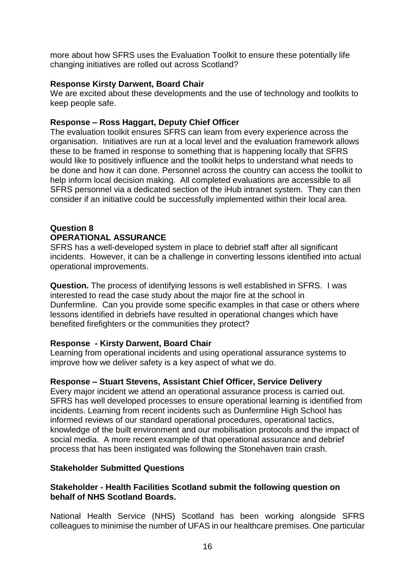more about how SFRS uses the Evaluation Toolkit to ensure these potentially life changing initiatives are rolled out across Scotland?

#### **Response Kirsty Darwent, Board Chair**

We are excited about these developments and the use of technology and toolkits to keep people safe.

## **Response – Ross Haggart, Deputy Chief Officer**

The evaluation toolkit ensures SFRS can learn from every experience across the organisation. Initiatives are run at a local level and the evaluation framework allows these to be framed in response to something that is happening locally that SFRS would like to positively influence and the toolkit helps to understand what needs to be done and how it can done. Personnel across the country can access the toolkit to help inform local decision making. All completed evaluations are accessible to all SFRS personnel via a dedicated section of the iHub intranet system. They can then consider if an initiative could be successfully implemented within their local area.

# **Question 8**

#### **OPERATIONAL ASSURANCE**

SFRS has a well-developed system in place to debrief staff after all significant incidents. However, it can be a challenge in converting lessons identified into actual operational improvements.

**Question.** The process of identifying lessons is well established in SFRS. I was interested to read the case study about the major fire at the school in Dunfermline. Can you provide some specific examples in that case or others where lessons identified in debriefs have resulted in operational changes which have benefited firefighters or the communities they protect?

#### **Response - Kirsty Darwent, Board Chair**

Learning from operational incidents and using operational assurance systems to improve how we deliver safety is a key aspect of what we do.

#### **Response – Stuart Stevens, Assistant Chief Officer, Service Delivery**

Every major incident we attend an operational assurance process is carried out. SFRS has well developed processes to ensure operational learning is identified from incidents. Learning from recent incidents such as Dunfermline High School has informed reviews of our standard operational procedures, operational tactics, knowledge of the built environment and our mobilisation protocols and the impact of social media. A more recent example of that operational assurance and debrief process that has been instigated was following the Stonehaven train crash.

#### **Stakeholder Submitted Questions**

#### **Stakeholder - Health Facilities Scotland submit the following question on behalf of NHS Scotland Boards.**

National Health Service (NHS) Scotland has been working alongside SFRS colleagues to minimise the number of UFAS in our healthcare premises. One particular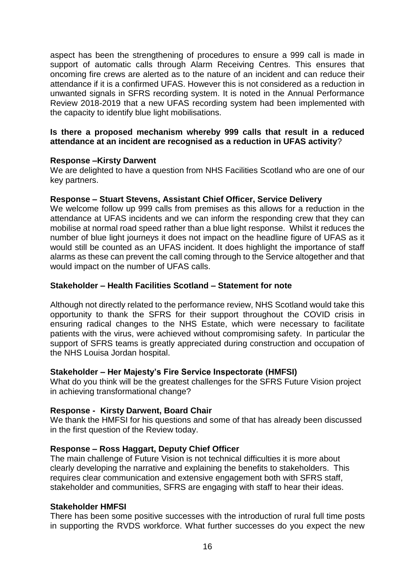aspect has been the strengthening of procedures to ensure a 999 call is made in support of automatic calls through Alarm Receiving Centres. This ensures that oncoming fire crews are alerted as to the nature of an incident and can reduce their attendance if it is a confirmed UFAS. However this is not considered as a reduction in unwanted signals in SFRS recording system. It is noted in the Annual Performance Review 2018-2019 that a new UFAS recording system had been implemented with the capacity to identify blue light mobilisations.

#### **Is there a proposed mechanism whereby 999 calls that result in a reduced attendance at an incident are recognised as a reduction in UFAS activity**?

#### **Response –Kirsty Darwent**

We are delighted to have a question from NHS Facilities Scotland who are one of our key partners.

#### **Response – Stuart Stevens, Assistant Chief Officer, Service Delivery**

We welcome follow up 999 calls from premises as this allows for a reduction in the attendance at UFAS incidents and we can inform the responding crew that they can mobilise at normal road speed rather than a blue light response. Whilst it reduces the number of blue light journeys it does not impact on the headline figure of UFAS as it would still be counted as an UFAS incident. It does highlight the importance of staff alarms as these can prevent the call coming through to the Service altogether and that would impact on the number of UFAS calls.

#### **Stakeholder – Health Facilities Scotland – Statement for note**

Although not directly related to the performance review, NHS Scotland would take this opportunity to thank the SFRS for their support throughout the COVID crisis in ensuring radical changes to the NHS Estate, which were necessary to facilitate patients with the virus, were achieved without compromising safety. In particular the support of SFRS teams is greatly appreciated during construction and occupation of the NHS Louisa Jordan hospital.

#### **Stakeholder – Her Majesty's Fire Service Inspectorate (HMFSI)**

What do you think will be the greatest challenges for the SFRS Future Vision project in achieving transformational change?

## **Response - Kirsty Darwent, Board Chair**

We thank the HMFSI for his questions and some of that has already been discussed in the first question of the Review today.

#### **Response – Ross Haggart, Deputy Chief Officer**

The main challenge of Future Vision is not technical difficulties it is more about clearly developing the narrative and explaining the benefits to stakeholders. This requires clear communication and extensive engagement both with SFRS staff, stakeholder and communities, SFRS are engaging with staff to hear their ideas.

#### **Stakeholder HMFSI**

There has been some positive successes with the introduction of rural full time posts in supporting the RVDS workforce. What further successes do you expect the new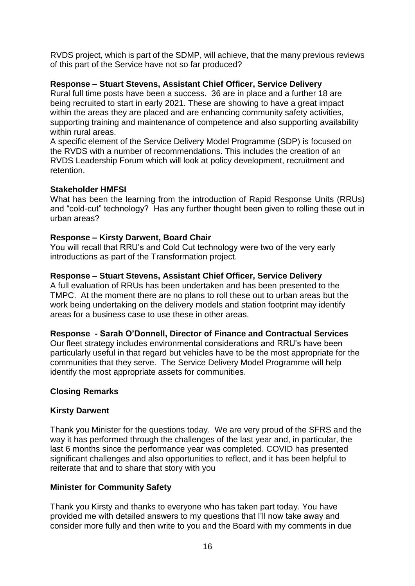RVDS project, which is part of the SDMP, will achieve, that the many previous reviews of this part of the Service have not so far produced?

## **Response – Stuart Stevens, Assistant Chief Officer, Service Delivery**

Rural full time posts have been a success. 36 are in place and a further 18 are being recruited to start in early 2021. These are showing to have a great impact within the areas they are placed and are enhancing community safety activities, supporting training and maintenance of competence and also supporting availability within rural areas.

A specific element of the Service Delivery Model Programme (SDP) is focused on the RVDS with a number of recommendations. This includes the creation of an RVDS Leadership Forum which will look at policy development, recruitment and retention.

#### **Stakeholder HMFSI**

What has been the learning from the introduction of Rapid Response Units (RRUs) and "cold-cut" technology? Has any further thought been given to rolling these out in urban areas?

## **Response – Kirsty Darwent, Board Chair**

You will recall that RRU's and Cold Cut technology were two of the very early introductions as part of the Transformation project.

## **Response – Stuart Stevens, Assistant Chief Officer, Service Delivery**

A full evaluation of RRUs has been undertaken and has been presented to the TMPC. At the moment there are no plans to roll these out to urban areas but the work being undertaking on the delivery models and station footprint may identify areas for a business case to use these in other areas.

#### **Response - Sarah O'Donnell, Director of Finance and Contractual Services**

Our fleet strategy includes environmental considerations and RRU's have been particularly useful in that regard but vehicles have to be the most appropriate for the communities that they serve. The Service Delivery Model Programme will help identify the most appropriate assets for communities.

#### **Closing Remarks**

#### **Kirsty Darwent**

Thank you Minister for the questions today. We are very proud of the SFRS and the way it has performed through the challenges of the last year and, in particular, the last 6 months since the performance year was completed. COVID has presented significant challenges and also opportunities to reflect, and it has been helpful to reiterate that and to share that story with you

## **Minister for Community Safety**

Thank you Kirsty and thanks to everyone who has taken part today. You have provided me with detailed answers to my questions that I'll now take away and consider more fully and then write to you and the Board with my comments in due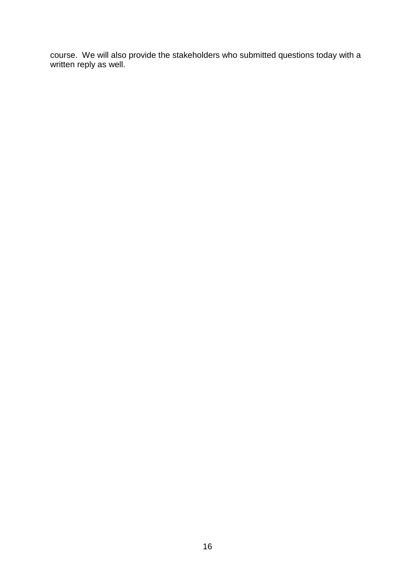course. We will also provide the stakeholders who submitted questions today with a written reply as well.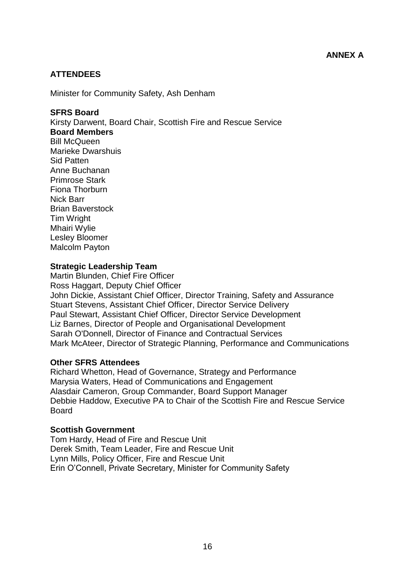#### **ATTENDEES**

Minister for Community Safety, Ash Denham

#### **SFRS Board**

Kirsty Darwent, Board Chair, Scottish Fire and Rescue Service **Board Members** Bill McQueen Marieke Dwarshuis Sid Patten Anne Buchanan Primrose Stark Fiona Thorburn Nick Barr Brian Baverstock Tim Wright Mhairi Wylie Lesley Bloomer Malcolm Payton

#### **Strategic Leadership Team**

Martin Blunden, Chief Fire Officer Ross Haggart, Deputy Chief Officer John Dickie, Assistant Chief Officer, Director Training, Safety and Assurance Stuart Stevens, Assistant Chief Officer, Director Service Delivery Paul Stewart, Assistant Chief Officer, Director Service Development Liz Barnes, Director of People and Organisational Development Sarah O'Donnell, Director of Finance and Contractual Services Mark McAteer, Director of Strategic Planning, Performance and Communications

#### **Other SFRS Attendees**

Richard Whetton, Head of Governance, Strategy and Performance Marysia Waters, Head of Communications and Engagement Alasdair Cameron, Group Commander, Board Support Manager Debbie Haddow, Executive PA to Chair of the Scottish Fire and Rescue Service **Board** 

#### **Scottish Government**

Tom Hardy, Head of Fire and Rescue Unit Derek Smith, Team Leader, Fire and Rescue Unit Lynn Mills, Policy Officer, Fire and Rescue Unit Erin O'Connell, Private Secretary, Minister for Community Safety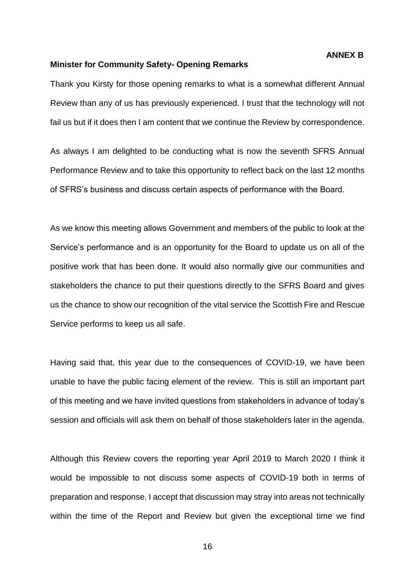#### **ANNEX B**

#### **Minister for Community Safety- Opening Remarks**

Thank you Kirsty for those opening remarks to what is a somewhat different Annual Review than any of us has previously experienced. I trust that the technology will not fail us but if it does then I am content that we continue the Review by correspondence.

As always I am delighted to be conducting what is now the seventh SFRS Annual Performance Review and to take this opportunity to reflect back on the last 12 months of SFRS's business and discuss certain aspects of performance with the Board.

As we know this meeting allows Government and members of the public to look at the Service's performance and is an opportunity for the Board to update us on all of the positive work that has been done. It would also normally give our communities and stakeholders the chance to put their questions directly to the SFRS Board and gives us the chance to show our recognition of the vital service the Scottish Fire and Rescue Service performs to keep us all safe.

Having said that, this year due to the consequences of COVID-19, we have been unable to have the public facing element of the review. This is still an important part of this meeting and we have invited questions from stakeholders in advance of today's session and officials will ask them on behalf of those stakeholders later in the agenda.

Although this Review covers the reporting year April 2019 to March 2020 I think it would be impossible to not discuss some aspects of COVID-19 both in terms of preparation and response. I accept that discussion may stray into areas not technically within the time of the Report and Review but given the exceptional time we find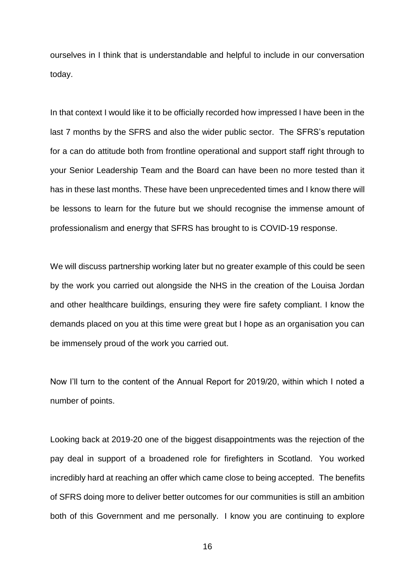ourselves in I think that is understandable and helpful to include in our conversation today.

In that context I would like it to be officially recorded how impressed I have been in the last 7 months by the SFRS and also the wider public sector. The SFRS's reputation for a can do attitude both from frontline operational and support staff right through to your Senior Leadership Team and the Board can have been no more tested than it has in these last months. These have been unprecedented times and I know there will be lessons to learn for the future but we should recognise the immense amount of professionalism and energy that SFRS has brought to is COVID-19 response.

We will discuss partnership working later but no greater example of this could be seen by the work you carried out alongside the NHS in the creation of the Louisa Jordan and other healthcare buildings, ensuring they were fire safety compliant. I know the demands placed on you at this time were great but I hope as an organisation you can be immensely proud of the work you carried out.

Now I'll turn to the content of the Annual Report for 2019/20, within which I noted a number of points.

Looking back at 2019-20 one of the biggest disappointments was the rejection of the pay deal in support of a broadened role for firefighters in Scotland. You worked incredibly hard at reaching an offer which came close to being accepted. The benefits of SFRS doing more to deliver better outcomes for our communities is still an ambition both of this Government and me personally. I know you are continuing to explore

16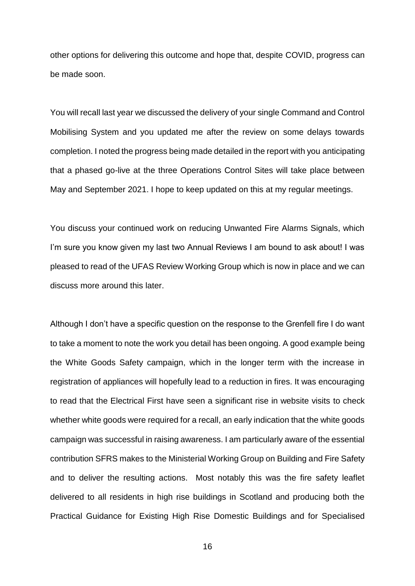other options for delivering this outcome and hope that, despite COVID, progress can be made soon.

You will recall last year we discussed the delivery of your single Command and Control Mobilising System and you updated me after the review on some delays towards completion. I noted the progress being made detailed in the report with you anticipating that a phased go-live at the three Operations Control Sites will take place between May and September 2021. I hope to keep updated on this at my regular meetings.

You discuss your continued work on reducing Unwanted Fire Alarms Signals, which I'm sure you know given my last two Annual Reviews I am bound to ask about! I was pleased to read of the UFAS Review Working Group which is now in place and we can discuss more around this later.

Although I don't have a specific question on the response to the Grenfell fire I do want to take a moment to note the work you detail has been ongoing. A good example being the White Goods Safety campaign, which in the longer term with the increase in registration of appliances will hopefully lead to a reduction in fires. It was encouraging to read that the Electrical First have seen a significant rise in website visits to check whether white goods were required for a recall, an early indication that the white goods campaign was successful in raising awareness. I am particularly aware of the essential contribution SFRS makes to the Ministerial Working Group on Building and Fire Safety and to deliver the resulting actions. Most notably this was the fire safety leaflet delivered to all residents in high rise buildings in Scotland and producing both the Practical Guidance for Existing High Rise Domestic Buildings and for Specialised

16